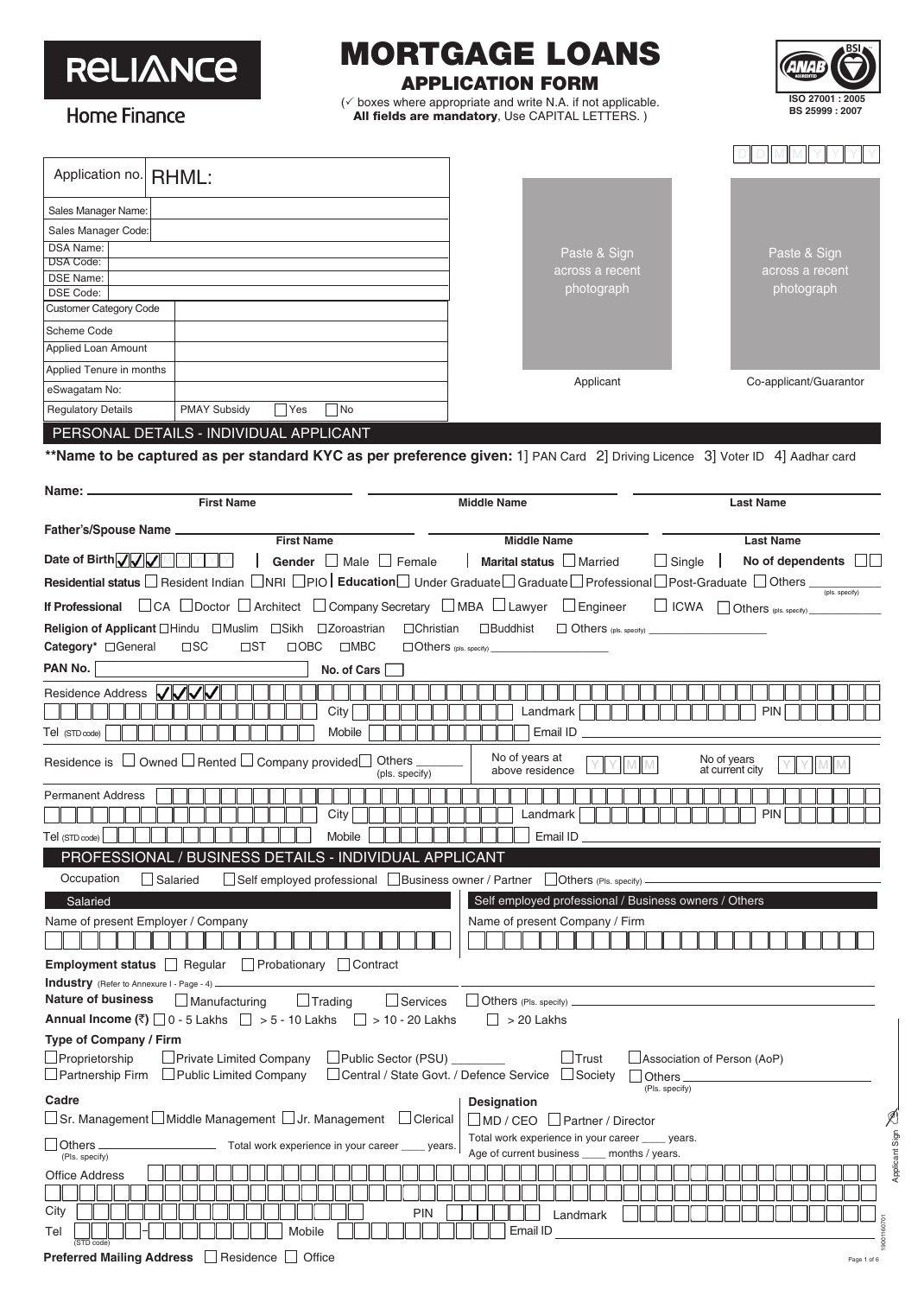#### MORTGAGE LOANS **RELIANCE** APPLICATION FORM  $(\checkmark)$  boxes where appropriate and write N.A. if not applicable. All fields are mandatory, Use CAPITAL LETTERS.)



Home Finance

| Application no.                                                         | RHML:                                                                                                                                                    |                                                                                                                                                                     |                                          |  |  |
|-------------------------------------------------------------------------|----------------------------------------------------------------------------------------------------------------------------------------------------------|---------------------------------------------------------------------------------------------------------------------------------------------------------------------|------------------------------------------|--|--|
| Sales Manager Name:                                                     |                                                                                                                                                          |                                                                                                                                                                     |                                          |  |  |
| Sales Manager Code:                                                     |                                                                                                                                                          |                                                                                                                                                                     |                                          |  |  |
| <b>DSA Name:</b>                                                        |                                                                                                                                                          | Paste & Sign                                                                                                                                                        | Paste & Sign                             |  |  |
| DSA Code:<br><b>DSE Name:</b>                                           |                                                                                                                                                          | across a recent                                                                                                                                                     | across a recent                          |  |  |
| DSE Code:                                                               |                                                                                                                                                          | photograph                                                                                                                                                          | photograph                               |  |  |
| <b>Customer Category Code</b>                                           |                                                                                                                                                          |                                                                                                                                                                     |                                          |  |  |
| Scheme Code                                                             |                                                                                                                                                          |                                                                                                                                                                     |                                          |  |  |
| Applied Loan Amount                                                     |                                                                                                                                                          |                                                                                                                                                                     |                                          |  |  |
| Applied Tenure in months                                                |                                                                                                                                                          | Applicant                                                                                                                                                           | Co-applicant/Guarantor                   |  |  |
| eSwagatam No:                                                           |                                                                                                                                                          |                                                                                                                                                                     |                                          |  |  |
| <b>Regulatory Details</b>                                               | <b>PMAY Subsidy</b><br> Yes<br>  No                                                                                                                      |                                                                                                                                                                     |                                          |  |  |
|                                                                         | PERSONAL DETAILS - INDIVIDUAL APPLICANT                                                                                                                  |                                                                                                                                                                     |                                          |  |  |
|                                                                         |                                                                                                                                                          | **Name to be captured as per standard KYC as per preference given: 1] PAN Card 2] Driving Licence 3] Voter ID 4] Aadhar card                                        |                                          |  |  |
| Name: <sub>-</sub>                                                      |                                                                                                                                                          |                                                                                                                                                                     |                                          |  |  |
|                                                                         | <b>First Name</b>                                                                                                                                        | <b>Middle Name</b>                                                                                                                                                  | <b>Last Name</b>                         |  |  |
| Father's/Spouse Name __                                                 | <b>First Name</b>                                                                                                                                        |                                                                                                                                                                     |                                          |  |  |
| Date of Birth VV                                                        |                                                                                                                                                          | <b>Middle Name</b>                                                                                                                                                  | <b>Last Name</b>                         |  |  |
|                                                                         | Gender $\Box$ Male $\Box$ Female                                                                                                                         | Marital status In Married<br>$\Box$ Single $\Box$                                                                                                                   | No of dependents<br>- 11 - 1             |  |  |
|                                                                         |                                                                                                                                                          | <b>Residential status</b> ■ Resident Indian ■ NRI ■ PIO <b>Education</b> Under Graduate ■ Graduate ■ Professional ■ Post-Graduate ■ Others <sub>(pls.specify)</sub> |                                          |  |  |
|                                                                         | <b>If Professional</b> □ CA  □ Doctor  □ Architect  □ Company Secretary  □ MBA □ Lawyer  □ Engineer                                                      |                                                                                                                                                                     | $\Box$ ICWA $\Box$ Others (pls. specify) |  |  |
| <b>Religion of Applicant</b> □Hindu □Muslim<br>Category* <b>Candide</b> | □ Zoroastrian<br>$\Box$ Christian<br>□Sikh<br>$\square$ SC<br>$\square$ ST<br>$\square$ MBC<br>$\Box$ OBC                                                | $\Box$ Buddhist<br>$\Box$ Others (pls. specify) $\Box$<br>$\Box$ Others (pls. specify) $\Box$                                                                       |                                          |  |  |
| PAN No.                                                                 | No. of Cars                                                                                                                                              |                                                                                                                                                                     |                                          |  |  |
| Residence Address VVV<br>Tel (STD code)                                 | City<br>Mobile                                                                                                                                           | Landmark<br>Email ID                                                                                                                                                | <b>PIN</b>                               |  |  |
|                                                                         | Residence is $\Box$ Owned $\Box$ Rented $\Box$ Company provided $\Box$<br><b>Others</b><br>(pls. specify)                                                | No of years at<br>above residence                                                                                                                                   | No of years<br>at current city           |  |  |
| <b>Permanent Address</b>                                                | PIN<br>City<br>Landmark                                                                                                                                  |                                                                                                                                                                     |                                          |  |  |
| Tel (STD code)                                                          | Mobile                                                                                                                                                   | Email ID                                                                                                                                                            |                                          |  |  |
|                                                                         | PROFESSIONAL / BUSINESS DETAILS - INDIVIDUAL APPLICANT                                                                                                   |                                                                                                                                                                     |                                          |  |  |
| Occupation                                                              | Self employed professional Business owner / Partner<br>Salaried                                                                                          | $\Box$ Others (PIs. specify)                                                                                                                                        |                                          |  |  |
| Salaried<br>Name of present Employer / Company                          |                                                                                                                                                          | Self employed professional / Business owners / Others<br>Name of present Company / Firm                                                                             |                                          |  |  |
|                                                                         | <b>Employment status</b>   Regular   Probationary   Contract                                                                                             |                                                                                                                                                                     |                                          |  |  |
| <b>Industry</b> (Refer to Annexure I - Page - 4)                        |                                                                                                                                                          |                                                                                                                                                                     |                                          |  |  |
| <b>Nature of business</b>                                               | $\Box$ Trading<br>$\Box$ Services<br>$\Box$ Manufacturing<br>Annual Income $(\bar{\mathbf{z}})$ 0 - 5 Lakhs $\Box$ > 5 - 10 Lakhs $\Box$ > 10 - 20 Lakhs | $\Box$ Others (Pls. specify) $\Box$<br>$\Box$ > 20 Lakhs                                                                                                            |                                          |  |  |
| Type of Company / Firm                                                  |                                                                                                                                                          |                                                                                                                                                                     |                                          |  |  |
| $\Box$ Proprietorship                                                   | Private Limited Company<br>$\Box$ Public Sector (PSU) $\_\_\_\_\_\_\_\_\$<br>$\Box$ Partnership Firm $\Box$ Public Limited Company                       | $\lrcorner$ Trust<br>Central / State Govt. / Defence Service<br>$\Box$ Society<br><b>Others</b>                                                                     | Association of Person (AoP)              |  |  |
| Cadre                                                                   |                                                                                                                                                          | (Pls. specify)<br><b>Designation</b>                                                                                                                                |                                          |  |  |
|                                                                         | $\Box$ Sr. Management $\Box$ Middle Management $\Box$ Jr. Management $\phantom{a} \Box$ Clerical                                                         | $\Box$ MD / CEO<br>$\Box$ Partner / Director                                                                                                                        |                                          |  |  |
| <b>Others</b>                                                           | Total work experience in your career                                                                                                                     | Total work experience in your career _____ years.<br>years.<br>Age of current business ____ months / years.                                                         |                                          |  |  |
| (Pls. specify)<br><b>Office Address</b>                                 |                                                                                                                                                          |                                                                                                                                                                     |                                          |  |  |
|                                                                         |                                                                                                                                                          |                                                                                                                                                                     |                                          |  |  |
| City<br>Tel<br>(STD code)                                               | <b>PIN</b><br>Mobile                                                                                                                                     | Landmark<br>Email ID                                                                                                                                                |                                          |  |  |

Applicant Sign Applicant Sign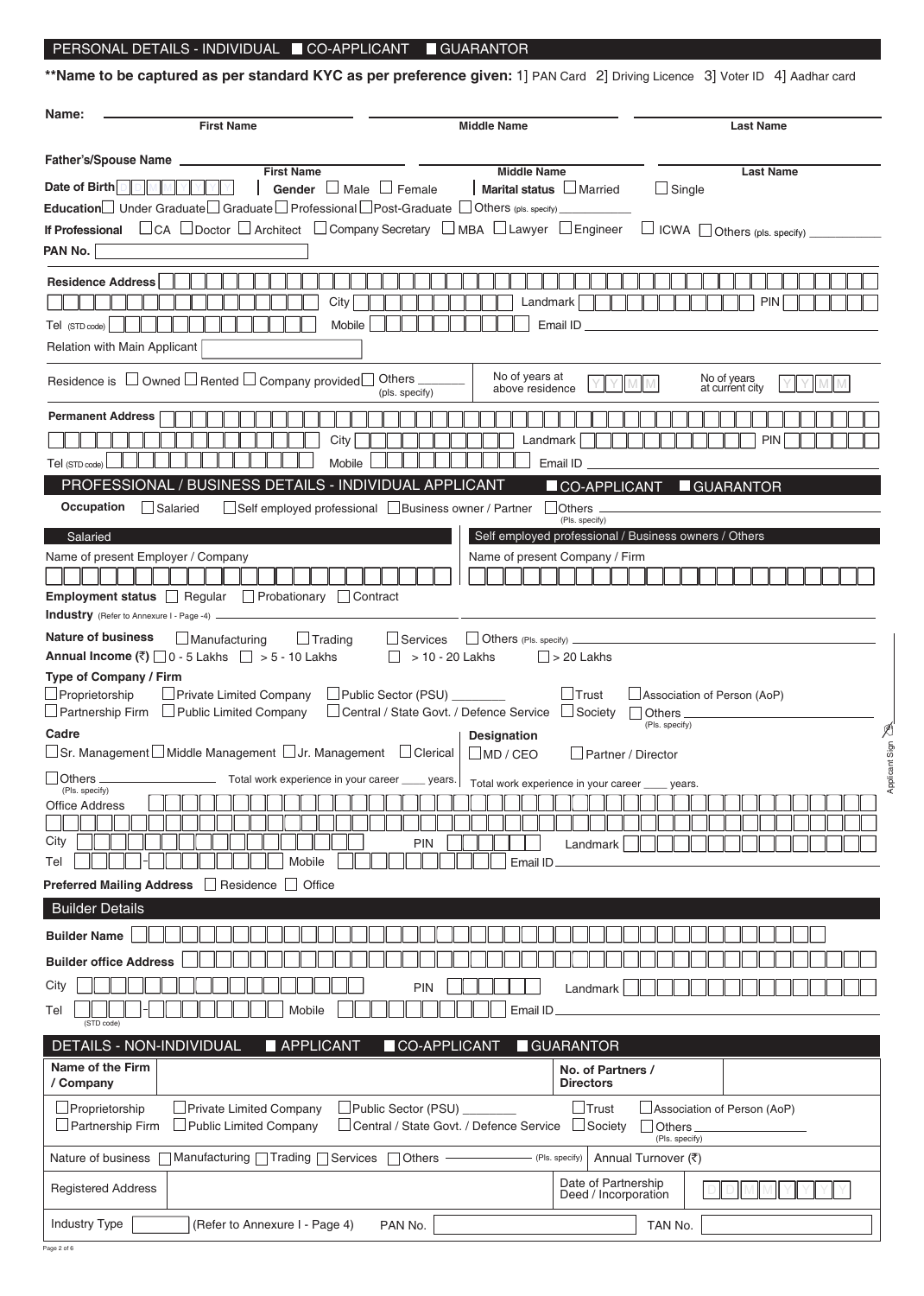#### PERSONAL DETAILS - INDIVIDUAL CO-APPLICANT GUARANTOR

\*\*Name to be captured as per standard KYC as per preference given: 1] PAN Card 2] Driving Licence 3] Voter ID 4] Aadhar card

| Name:<br><b>First Name</b>                                                                                                                                                                                                                                                                                                                                                                                                                                                                                                                                                                                                                                                                                                                               | <b>Middle Name</b>                                                                                                                                                                                                                                                                                                                                                            |                                                                                                                                                                                                                                              | <b>Last Name</b>                                               |
|----------------------------------------------------------------------------------------------------------------------------------------------------------------------------------------------------------------------------------------------------------------------------------------------------------------------------------------------------------------------------------------------------------------------------------------------------------------------------------------------------------------------------------------------------------------------------------------------------------------------------------------------------------------------------------------------------------------------------------------------------------|-------------------------------------------------------------------------------------------------------------------------------------------------------------------------------------------------------------------------------------------------------------------------------------------------------------------------------------------------------------------------------|----------------------------------------------------------------------------------------------------------------------------------------------------------------------------------------------------------------------------------------------|----------------------------------------------------------------|
| <b>Father's/Spouse Name</b>                                                                                                                                                                                                                                                                                                                                                                                                                                                                                                                                                                                                                                                                                                                              |                                                                                                                                                                                                                                                                                                                                                                               |                                                                                                                                                                                                                                              |                                                                |
| <b>First Name</b><br>Date of Birth<br>Gender<br><b>Education</b> Under Graduate Graduate Professional Post-Graduate $\Box$ Others (pls. specify)<br>□ CA □ Doctor □ Architect □ Company Secretary □ MBA □ Lawyer □ Engineer<br><b>If Professional</b><br>PAN No.                                                                                                                                                                                                                                                                                                                                                                                                                                                                                         | <b>Middle Name</b><br>Marital status LNarried<br>Male $\Box$ Female                                                                                                                                                                                                                                                                                                           | $\Box$ Single                                                                                                                                                                                                                                | <b>Last Name</b><br>$\Box$ ICWA $\Box$ Others (pls. specify) _ |
| <b>Residence Address</b><br>City<br>Mobile<br>Tel (STD code)<br>Relation with Main Applicant                                                                                                                                                                                                                                                                                                                                                                                                                                                                                                                                                                                                                                                             | Landmark<br>Email ID                                                                                                                                                                                                                                                                                                                                                          |                                                                                                                                                                                                                                              | <b>PIN</b>                                                     |
| Residence is $\Box$ Owned $\Box$ Rented $\Box$ Company provided $\Box$                                                                                                                                                                                                                                                                                                                                                                                                                                                                                                                                                                                                                                                                                   | No of years at<br>Others _<br>above residence<br>(pls. specify)                                                                                                                                                                                                                                                                                                               |                                                                                                                                                                                                                                              | No of years<br>at current city                                 |
| <b>Permanent Address</b><br>City<br>Mobile<br>Tel (STD code)                                                                                                                                                                                                                                                                                                                                                                                                                                                                                                                                                                                                                                                                                             | Landmark<br>Email ID                                                                                                                                                                                                                                                                                                                                                          |                                                                                                                                                                                                                                              | <b>PIN</b>                                                     |
| PROFESSIONAL / BUSINESS DETAILS - INDIVIDUAL APPLICANT<br>Occupation                                                                                                                                                                                                                                                                                                                                                                                                                                                                                                                                                                                                                                                                                     |                                                                                                                                                                                                                                                                                                                                                                               | CO-APPLICANT                                                                                                                                                                                                                                 | GUARANTOR                                                      |
| Salaried<br>Name of present Employer / Company<br>Employment status Regular<br>$\Box$ Probationary $\Box$<br>Contract<br>Industry (Refer to Annexure I - Page -4)<br><b>Nature of business</b><br>$\Box$ Manufacturing<br>$\Box$ Trading<br>Annual Income (₹) $\Box$ 0 - 5 Lakhs $\Box$ > 5 - 10 Lakhs<br>Type of Company / Firm<br>$\Box$ Proprietorship<br>Private Limited Company<br>$\Box$ Partnership Firm<br>$\Box$ Public Limited Company<br>Cadre<br>$\Box$ Sr. Management $\Box$ Middle Management $\Box$ Jr. Management $\Box$ Clerical<br>$\Box$ Others<br>(Pls. specify)<br><b>Office Address</b><br>City<br>Mobile<br>Tel<br><b>Preferred Mailing Address</b><br>Residence     Office<br>$\overline{\phantom{0}}$<br><b>Builder Details</b> | Self employed professional Business owner / Partner<br>Name of present Company / Firm<br>Others (Pls. specify) _<br>$\Box$ Services<br>> 10 - 20 Lakhs<br>∟Public Sector (PSU) _<br>□ Central / State Govt. / Defence Service<br>Designation<br>$\Box$ MD / CEO<br>Total work experience in your career ____ years. Total work experience in your career _<br>PIN<br>Email ID | (Pls. specify)<br>Self employed professional / Business owners / Others<br>$\Box$ > 20 Lakhs<br>$\Box$ Trust<br>Association of Person (AoP)<br>$\Box$ Society<br><b>Others</b><br>(Pls. specify)<br>Partner / Director<br>years.<br>Landmark | icant Sign 2<br>Āppl                                           |
| <b>Builder Name</b><br><b>Builder office Address</b><br>City<br>Mobile<br>Tel<br>(STD code)<br><b>DETAILS - NON-INDIVIDUAL</b>                                                                                                                                                                                                                                                                                                                                                                                                                                                                                                                                                                                                                           | PIN<br>Email ID                                                                                                                                                                                                                                                                                                                                                               | Landmark                                                                                                                                                                                                                                     |                                                                |
| APPLICANT<br>Name of the Firm                                                                                                                                                                                                                                                                                                                                                                                                                                                                                                                                                                                                                                                                                                                            | CO-APPLICANT<br>GUARANTOR                                                                                                                                                                                                                                                                                                                                                     | No. of Partners /                                                                                                                                                                                                                            |                                                                |
| / Company<br>Proprietorship<br>Private Limited Company<br>$\Box$ Partnership Firm<br><b>Public Limited Company</b>                                                                                                                                                                                                                                                                                                                                                                                                                                                                                                                                                                                                                                       | Public Sector (PSU) ______<br>Central / State Govt. / Defence Service                                                                                                                                                                                                                                                                                                         | <b>Directors</b><br>」Trust<br>Society<br><b>Others</b>                                                                                                                                                                                       | Association of Person (AoP)                                    |
| Manufacturing $\Box$ Trading $\Box$ Services<br>Nature of business                                                                                                                                                                                                                                                                                                                                                                                                                                                                                                                                                                                                                                                                                       | (Pls. specify)<br><b>Others</b>                                                                                                                                                                                                                                                                                                                                               | (Pls. specify)<br>Annual Turnover (₹)                                                                                                                                                                                                        |                                                                |
| <b>Registered Address</b>                                                                                                                                                                                                                                                                                                                                                                                                                                                                                                                                                                                                                                                                                                                                |                                                                                                                                                                                                                                                                                                                                                                               | Date of Partnership<br>Deed / Incorporation                                                                                                                                                                                                  |                                                                |
| Industry Type<br>(Refer to Annexure I - Page 4)                                                                                                                                                                                                                                                                                                                                                                                                                                                                                                                                                                                                                                                                                                          | PAN No.                                                                                                                                                                                                                                                                                                                                                                       | TAN No.                                                                                                                                                                                                                                      |                                                                |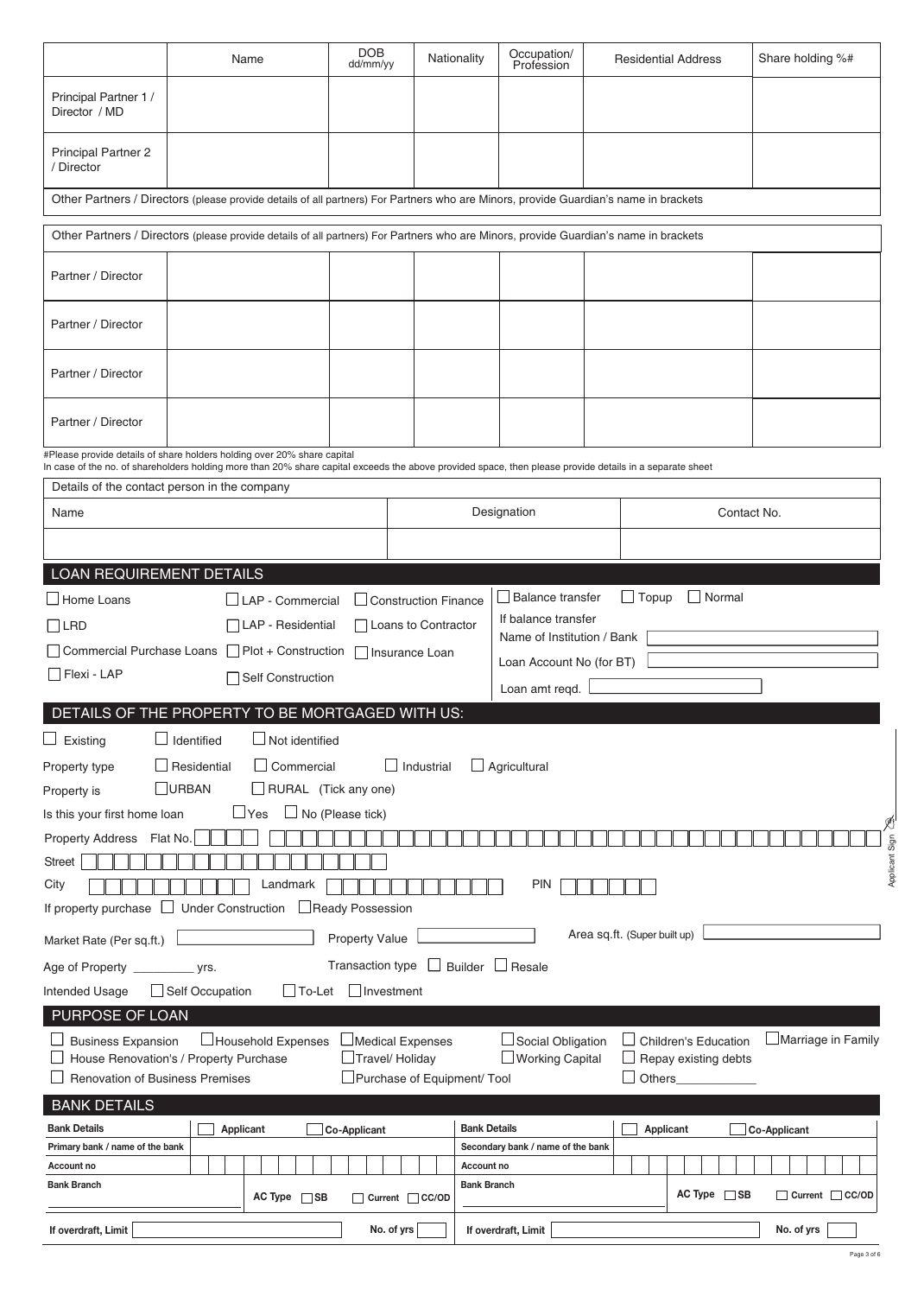|                                                                                                                                                                                                                                     |                                                                                                                         | Name                    | <b>DOB</b><br>dd/mm/yy |                             | Nationality         | Occupation/<br>Profession         |              | <b>Residential Address</b>  | Share holding %#          |  |
|-------------------------------------------------------------------------------------------------------------------------------------------------------------------------------------------------------------------------------------|-------------------------------------------------------------------------------------------------------------------------|-------------------------|------------------------|-----------------------------|---------------------|-----------------------------------|--------------|-----------------------------|---------------------------|--|
| Principal Partner 1 /<br>Director / MD                                                                                                                                                                                              |                                                                                                                         |                         |                        |                             |                     |                                   |              |                             |                           |  |
| <b>Principal Partner 2</b><br>/ Director                                                                                                                                                                                            |                                                                                                                         |                         |                        |                             |                     |                                   |              |                             |                           |  |
| Other Partners / Directors (please provide details of all partners) For Partners who are Minors, provide Guardian's name in brackets                                                                                                |                                                                                                                         |                         |                        |                             |                     |                                   |              |                             |                           |  |
| Other Partners / Directors (please provide details of all partners) For Partners who are Minors, provide Guardian's name in brackets                                                                                                |                                                                                                                         |                         |                        |                             |                     |                                   |              |                             |                           |  |
| Partner / Director                                                                                                                                                                                                                  |                                                                                                                         |                         |                        |                             |                     |                                   |              |                             |                           |  |
| Partner / Director                                                                                                                                                                                                                  |                                                                                                                         |                         |                        |                             |                     |                                   |              |                             |                           |  |
| Partner / Director                                                                                                                                                                                                                  |                                                                                                                         |                         |                        |                             |                     |                                   |              |                             |                           |  |
| Partner / Director                                                                                                                                                                                                                  |                                                                                                                         |                         |                        |                             |                     |                                   |              |                             |                           |  |
| #Please provide details of share holders holding over 20% share capital<br>In case of the no. of shareholders holding more than 20% share capital exceeds the above provided space, then please provide details in a separate sheet |                                                                                                                         |                         |                        |                             |                     |                                   |              |                             |                           |  |
| Details of the contact person in the company                                                                                                                                                                                        |                                                                                                                         |                         |                        |                             |                     |                                   |              |                             |                           |  |
| Name                                                                                                                                                                                                                                |                                                                                                                         |                         |                        | Designation                 |                     |                                   |              | Contact No.                 |                           |  |
|                                                                                                                                                                                                                                     |                                                                                                                         |                         |                        |                             |                     |                                   |              |                             |                           |  |
| LOAN REQUIREMENT DETAILS                                                                                                                                                                                                            |                                                                                                                         |                         |                        |                             |                     |                                   |              |                             |                           |  |
| $\Box$ Home Loans                                                                                                                                                                                                                   |                                                                                                                         | $\Box$ LAP - Commercial |                        | $\Box$ Construction Finance |                     | <b>Balance transfer</b>           | $\Box$ Topup | Normal                      |                           |  |
| $\Box$ LRD                                                                                                                                                                                                                          |                                                                                                                         | LAP - Residential       |                        | Loans to Contractor         |                     | If balance transfer               |              |                             |                           |  |
|                                                                                                                                                                                                                                     |                                                                                                                         |                         |                        |                             |                     | Name of Institution / Bank        |              |                             |                           |  |
| Flexi - LAP                                                                                                                                                                                                                         | Commercial Purchase Loans Plot + Construction<br>Insurance Loan<br>Loan Account No (for BT)<br><b>Self Construction</b> |                         |                        |                             |                     |                                   |              |                             |                           |  |
|                                                                                                                                                                                                                                     |                                                                                                                         |                         |                        |                             |                     | Loan amt regd.                    |              |                             |                           |  |
| DETAILS OF THE PROPERTY TO BE MORTGAGED WITH US:                                                                                                                                                                                    |                                                                                                                         |                         |                        |                             |                     |                                   |              |                             |                           |  |
| $\Box$ Existing                                                                                                                                                                                                                     | Identified                                                                                                              | $\Box$ Not identified   |                        |                             |                     |                                   |              |                             |                           |  |
| Property type                                                                                                                                                                                                                       | Residential                                                                                                             | $\Box$ Commercial       |                        | Industrial                  |                     | $\Box$ Agricultural               |              |                             |                           |  |
| Property is                                                                                                                                                                                                                         | URBAN                                                                                                                   | RURAL (Tick any one)    |                        |                             |                     |                                   |              |                             |                           |  |
| Is this your first home loan                                                                                                                                                                                                        |                                                                                                                         | ⊿Yes                    | No (Please tick)       |                             |                     |                                   |              |                             |                           |  |
| <b>Property Address</b>                                                                                                                                                                                                             | Flat No.                                                                                                                |                         |                        |                             |                     |                                   |              |                             |                           |  |
| <b>Street</b>                                                                                                                                                                                                                       |                                                                                                                         |                         |                        |                             |                     |                                   |              |                             | Applicant Sign            |  |
| City                                                                                                                                                                                                                                |                                                                                                                         | Landmark                |                        |                             |                     | <b>PIN</b>                        |              |                             |                           |  |
| If property purchase                                                                                                                                                                                                                | <b>Under Construction</b>                                                                                               |                         | □Ready Possession      |                             |                     |                                   |              |                             |                           |  |
| Area sq.ft. (Super built up)<br>Property Value<br>Market Rate (Per sq.ft.)                                                                                                                                                          |                                                                                                                         |                         |                        |                             |                     |                                   |              |                             |                           |  |
| Age of Property __________ yrs.                                                                                                                                                                                                     |                                                                                                                         |                         | Transaction type       |                             |                     | $\Box$ Builder $\Box$ Resale      |              |                             |                           |  |
| Intended Usage                                                                                                                                                                                                                      | Self Occupation                                                                                                         | $\Box$ To-Let           | Investment             |                             |                     |                                   |              |                             |                           |  |
| PURPOSE OF LOAN                                                                                                                                                                                                                     |                                                                                                                         |                         |                        |                             |                     |                                   |              |                             |                           |  |
| <b>Business Expansion</b>                                                                                                                                                                                                           |                                                                                                                         | Household Expenses      |                        | Medical Expenses            |                     | Social Obligation                 |              | <b>Children's Education</b> | $\Box$ Marriage in Family |  |
| House Renovation's / Property Purchase<br><b>Renovation of Business Premises</b>                                                                                                                                                    |                                                                                                                         |                         |                        | Travel/ Holiday             |                     | $\Box$ Working Capital            |              | Repay existing debts        |                           |  |
|                                                                                                                                                                                                                                     |                                                                                                                         |                         |                        | Purchase of Equipment/ Tool |                     |                                   | Others       |                             |                           |  |
| <b>BANK DETAILS</b>                                                                                                                                                                                                                 |                                                                                                                         |                         |                        |                             |                     |                                   |              |                             |                           |  |
| <b>Bank Details</b><br>Primary bank / name of the bank                                                                                                                                                                              |                                                                                                                         | Applicant               | Co-Applicant           |                             | <b>Bank Details</b> | Secondary bank / name of the bank |              | Applicant                   | Co-Applicant              |  |
| Account no                                                                                                                                                                                                                          |                                                                                                                         |                         |                        |                             | Account no          |                                   |              |                             |                           |  |
| <b>Bank Branch</b>                                                                                                                                                                                                                  |                                                                                                                         | $AC Type$ SB            |                        | Current CC/OD               | <b>Bank Branch</b>  |                                   |              | $AC Type \tS B$             | Current CC/OD             |  |
| If overdraft, Limit                                                                                                                                                                                                                 |                                                                                                                         |                         |                        | No. of yrs                  |                     | If overdraft, Limit               |              |                             | No. of yrs                |  |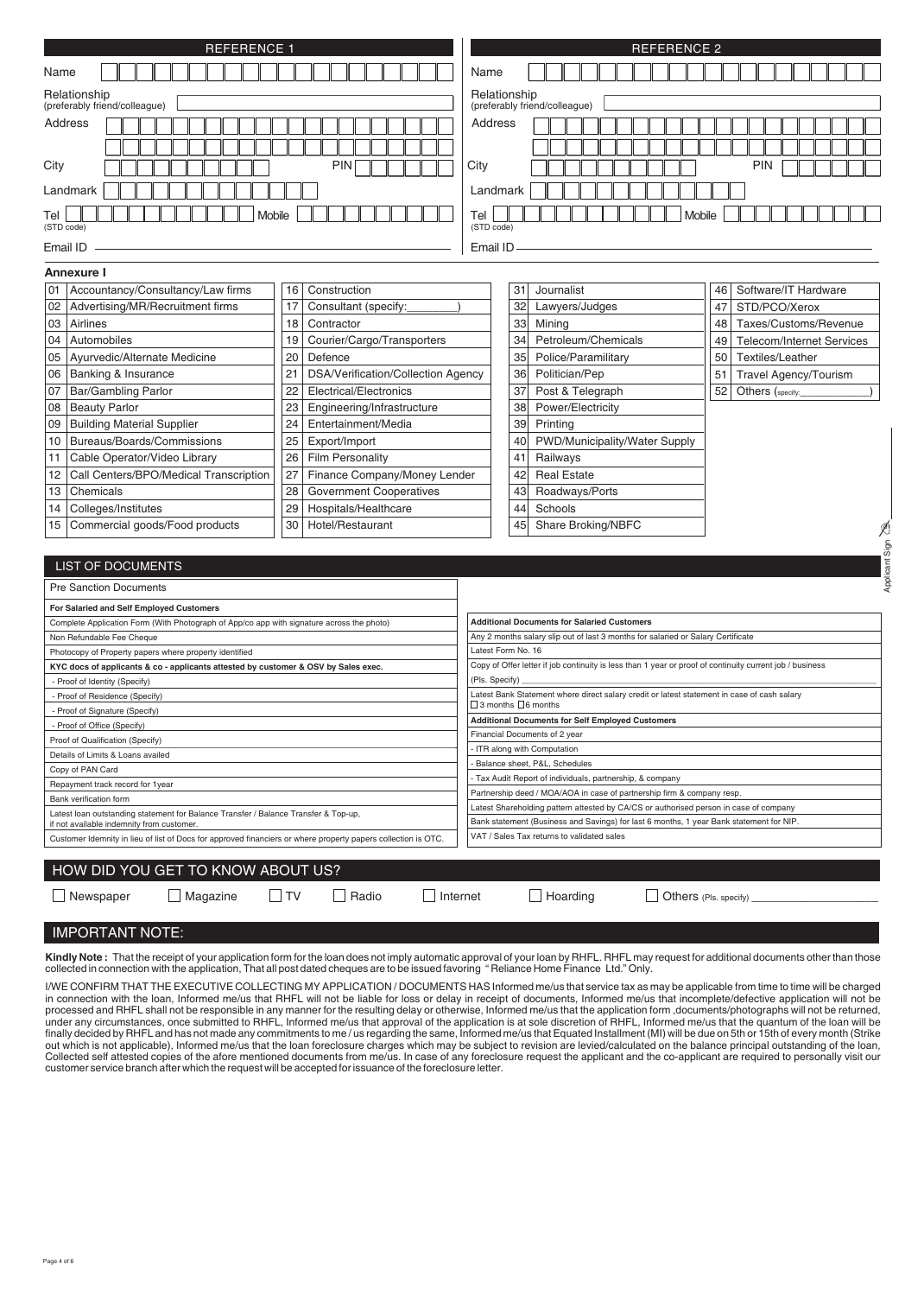| <b>REFERENCE 1</b>                                                                                                                                                                                                                                                                                                               |                                   |                                    |                                                                                                               | <b>REFERENCE 2</b>                                                                                                                                                               |                                                                                                          |               |                                  |  |
|----------------------------------------------------------------------------------------------------------------------------------------------------------------------------------------------------------------------------------------------------------------------------------------------------------------------------------|-----------------------------------|------------------------------------|---------------------------------------------------------------------------------------------------------------|----------------------------------------------------------------------------------------------------------------------------------------------------------------------------------|----------------------------------------------------------------------------------------------------------|---------------|----------------------------------|--|
| Name                                                                                                                                                                                                                                                                                                                             |                                   |                                    | Name                                                                                                          |                                                                                                                                                                                  |                                                                                                          |               |                                  |  |
| Relationship<br>(preferably friend/colleague)                                                                                                                                                                                                                                                                                    |                                   |                                    | Relationship                                                                                                  |                                                                                                                                                                                  | (preferably friend/colleague)                                                                            |               |                                  |  |
| Address                                                                                                                                                                                                                                                                                                                          |                                   |                                    | Address                                                                                                       |                                                                                                                                                                                  |                                                                                                          |               |                                  |  |
| City<br>Landmark                                                                                                                                                                                                                                                                                                                 |                                   | <b>PIN</b>                         | City<br>Landmark                                                                                              |                                                                                                                                                                                  |                                                                                                          |               | <b>PIN</b>                       |  |
| <b>Mobile</b><br>Tel                                                                                                                                                                                                                                                                                                             |                                   |                                    |                                                                                                               |                                                                                                                                                                                  |                                                                                                          | <b>Mobile</b> |                                  |  |
| (STD code)<br>Email ID                                                                                                                                                                                                                                                                                                           |                                   | (STD code)<br>Email ID             |                                                                                                               |                                                                                                                                                                                  |                                                                                                          |               |                                  |  |
|                                                                                                                                                                                                                                                                                                                                  |                                   |                                    |                                                                                                               |                                                                                                                                                                                  |                                                                                                          |               |                                  |  |
| Annexure I                                                                                                                                                                                                                                                                                                                       |                                   |                                    |                                                                                                               |                                                                                                                                                                                  |                                                                                                          |               |                                  |  |
| Accountancy/Consultancy/Law firms<br>01                                                                                                                                                                                                                                                                                          | 16                                | Construction                       |                                                                                                               |                                                                                                                                                                                  | 31<br>Journalist                                                                                         | 46            | Software/IT Hardware             |  |
| Advertising/MR/Recruitment firms<br>02                                                                                                                                                                                                                                                                                           | 17                                | Consultant (specify:               |                                                                                                               |                                                                                                                                                                                  | 32<br>Lawyers/Judges                                                                                     | 47            | STD/PCO/Xerox                    |  |
| Airlines<br>03                                                                                                                                                                                                                                                                                                                   | 18                                | Contractor                         |                                                                                                               |                                                                                                                                                                                  | 33<br>Mining                                                                                             | 48            | Taxes/Customs/Revenue            |  |
| 04<br>Automobiles                                                                                                                                                                                                                                                                                                                | 19                                | Courier/Cargo/Transporters         |                                                                                                               |                                                                                                                                                                                  | 34<br>Petroleum/Chemicals                                                                                | 49            | <b>Telecom/Internet Services</b> |  |
| Ayurvedic/Alternate Medicine<br>05                                                                                                                                                                                                                                                                                               | 20                                | Defence                            |                                                                                                               |                                                                                                                                                                                  | 35<br>Police/Paramilitary                                                                                | 50            | Textiles/Leather                 |  |
| <b>Banking &amp; Insurance</b><br>06                                                                                                                                                                                                                                                                                             | 21                                | DSA/Verification/Collection Agency |                                                                                                               |                                                                                                                                                                                  | 36<br>Politician/Pep                                                                                     | 51            | Travel Agency/Tourism            |  |
| Bar/Gambling Parlor<br>07                                                                                                                                                                                                                                                                                                        | 22                                | Electrical/Electronics             |                                                                                                               |                                                                                                                                                                                  | 37<br>Post & Telegraph                                                                                   | 52            | Others (specify:                 |  |
| <b>Beauty Parlor</b><br>08                                                                                                                                                                                                                                                                                                       | 23                                | Engineering/Infrastructure         |                                                                                                               |                                                                                                                                                                                  | Power/Electricity<br>38                                                                                  |               |                                  |  |
| <b>Building Material Supplier</b><br>09                                                                                                                                                                                                                                                                                          | 24                                | Entertainment/Media                |                                                                                                               |                                                                                                                                                                                  | 39<br>Printing                                                                                           |               |                                  |  |
| Bureaus/Boards/Commissions<br>10                                                                                                                                                                                                                                                                                                 | 25                                | Export/Import                      |                                                                                                               |                                                                                                                                                                                  | PWD/Municipality/Water Supply<br>40                                                                      |               |                                  |  |
| Cable Operator/Video Library<br>11                                                                                                                                                                                                                                                                                               | 26                                | <b>Film Personality</b>            |                                                                                                               | 41                                                                                                                                                                               | Railways                                                                                                 |               |                                  |  |
| Call Centers/BPO/Medical Transcription<br>12                                                                                                                                                                                                                                                                                     | 27                                | Finance Company/Money Lender       |                                                                                                               |                                                                                                                                                                                  | <b>Real Estate</b><br>42                                                                                 |               |                                  |  |
|                                                                                                                                                                                                                                                                                                                                  | 28                                |                                    |                                                                                                               |                                                                                                                                                                                  | Roadways/Ports<br>43                                                                                     |               |                                  |  |
| Chemicals<br>13                                                                                                                                                                                                                                                                                                                  |                                   | <b>Government Cooperatives</b>     |                                                                                                               |                                                                                                                                                                                  |                                                                                                          |               |                                  |  |
| Colleges/Institutes<br>29<br>Hospitals/Healthcare<br>14                                                                                                                                                                                                                                                                          |                                   |                                    |                                                                                                               |                                                                                                                                                                                  | 44<br>Schools<br>Share Broking/NBFC<br>45                                                                |               |                                  |  |
| Commercial goods/Food products<br>30<br>Hotel/Restaurant<br>15                                                                                                                                                                                                                                                                   |                                   |                                    |                                                                                                               |                                                                                                                                                                                  |                                                                                                          |               | Sign                             |  |
| <b>LIST OF DOCUMENTS</b>                                                                                                                                                                                                                                                                                                         |                                   |                                    |                                                                                                               |                                                                                                                                                                                  |                                                                                                          |               | Applicant                        |  |
|                                                                                                                                                                                                                                                                                                                                  |                                   |                                    |                                                                                                               |                                                                                                                                                                                  |                                                                                                          |               |                                  |  |
| <b>Pre Sanction Documents</b>                                                                                                                                                                                                                                                                                                    |                                   |                                    |                                                                                                               |                                                                                                                                                                                  |                                                                                                          |               |                                  |  |
| For Salaried and Self Employed Customers                                                                                                                                                                                                                                                                                         |                                   |                                    |                                                                                                               |                                                                                                                                                                                  |                                                                                                          |               |                                  |  |
| Complete Application Form (With Photograph of App/co app with signature across the photo)                                                                                                                                                                                                                                        |                                   |                                    |                                                                                                               |                                                                                                                                                                                  | <b>Additional Documents for Salaried Customers</b>                                                       |               |                                  |  |
| Non Refundable Fee Cheque                                                                                                                                                                                                                                                                                                        |                                   |                                    |                                                                                                               |                                                                                                                                                                                  | Any 2 months salary slip out of last 3 months for salaried or Salary Certificate                         |               |                                  |  |
| Photocopy of Property papers where property identified                                                                                                                                                                                                                                                                           |                                   |                                    | Latest Form No. 16                                                                                            |                                                                                                                                                                                  |                                                                                                          |               |                                  |  |
| KYC docs of applicants & co - applicants attested by customer & OSV by Sales exec.                                                                                                                                                                                                                                               |                                   |                                    |                                                                                                               |                                                                                                                                                                                  | Copy of Offer letter if job continuity is less than 1 year or proof of continuity current job / business |               |                                  |  |
| - Proof of Identity (Specify)<br>- Proof of Residence (Specify)                                                                                                                                                                                                                                                                  |                                   |                                    | (Pls. Specify)<br>Latest Bank Statement where direct salary credit or latest statement in case of cash salary |                                                                                                                                                                                  |                                                                                                          |               |                                  |  |
| - Proof of Signature (Specify)                                                                                                                                                                                                                                                                                                   |                                   |                                    | $\Box$ 3 months $\Box$ 6 months                                                                               |                                                                                                                                                                                  |                                                                                                          |               |                                  |  |
| - Proof of Office (Specify)                                                                                                                                                                                                                                                                                                      |                                   |                                    | <b>Additional Documents for Self Employed Customers</b>                                                       |                                                                                                                                                                                  |                                                                                                          |               |                                  |  |
| Proof of Qualification (Specify)                                                                                                                                                                                                                                                                                                 |                                   |                                    | Financial Documents of 2 year                                                                                 |                                                                                                                                                                                  |                                                                                                          |               |                                  |  |
| Details of Limits & Loans availed                                                                                                                                                                                                                                                                                                |                                   |                                    | - ITR along with Computation                                                                                  |                                                                                                                                                                                  |                                                                                                          |               |                                  |  |
| Copy of PAN Card                                                                                                                                                                                                                                                                                                                 |                                   |                                    | Balance sheet, P&L, Schedules                                                                                 |                                                                                                                                                                                  |                                                                                                          |               |                                  |  |
| Repayment track record for 1year                                                                                                                                                                                                                                                                                                 |                                   |                                    | Tax Audit Report of individuals, partnership, & company                                                       |                                                                                                                                                                                  |                                                                                                          |               |                                  |  |
| Bank verification form                                                                                                                                                                                                                                                                                                           |                                   |                                    |                                                                                                               |                                                                                                                                                                                  | Partnership deed / MOA/AOA in case of partnership firm & company resp.                                   |               |                                  |  |
| Latest loan outstanding statement for Balance Transfer / Balance Transfer & Top-up,                                                                                                                                                                                                                                              |                                   |                                    |                                                                                                               | Latest Shareholding pattern attested by CA/CS or authorised person in case of company<br>Bank statement (Business and Savings) for last 6 months, 1 year Bank statement for NIP. |                                                                                                          |               |                                  |  |
| if not available indemnity from customer.<br>VAT / Sales Tax returns to validated sales<br>Customer Idemnity in lieu of list of Docs for approved financiers or where property papers collection is OTC.                                                                                                                         |                                   |                                    |                                                                                                               |                                                                                                                                                                                  |                                                                                                          |               |                                  |  |
|                                                                                                                                                                                                                                                                                                                                  |                                   |                                    |                                                                                                               |                                                                                                                                                                                  |                                                                                                          |               |                                  |  |
|                                                                                                                                                                                                                                                                                                                                  | HOW DID YOU GET TO KNOW ABOUT US? |                                    |                                                                                                               |                                                                                                                                                                                  |                                                                                                          |               |                                  |  |
| Magazine<br>$\Box$ Newspaper                                                                                                                                                                                                                                                                                                     | $\Box$ TV                         | Radio<br>Internet                  |                                                                                                               |                                                                                                                                                                                  | $\Box$ Hoarding<br>Others (Pls. specify)                                                                 |               |                                  |  |
| <b>IMPORTANT NOTE:</b>                                                                                                                                                                                                                                                                                                           |                                   |                                    |                                                                                                               |                                                                                                                                                                                  |                                                                                                          |               |                                  |  |
|                                                                                                                                                                                                                                                                                                                                  |                                   |                                    |                                                                                                               |                                                                                                                                                                                  |                                                                                                          |               |                                  |  |
| Kindly Note: That the receipt of your application form for the loan does not imply automatic approval of your loan by RHFL. RHFL may request for additional documents other than those<br>collected in connection with the application, That all post dated cheques are to be issued favoring "Reliance Home Finance Ltd." Only. |                                   |                                    |                                                                                                               |                                                                                                                                                                                  |                                                                                                          |               |                                  |  |

I/WE CONFIRM THAT THE EXECUTIVE COLLECTING MY APPLICATION/DOCUMENTS HAS Informed me/us that service tax as may be applicable from time to time will be charged<br>in connection with the loan, Informed me/us that RHFL will not Collected self attested copies of the afore mentioned documents from me/us. In case of any foreclosure request the applicant and the co-applicant are required to personally visit our<br>customer service branch after which the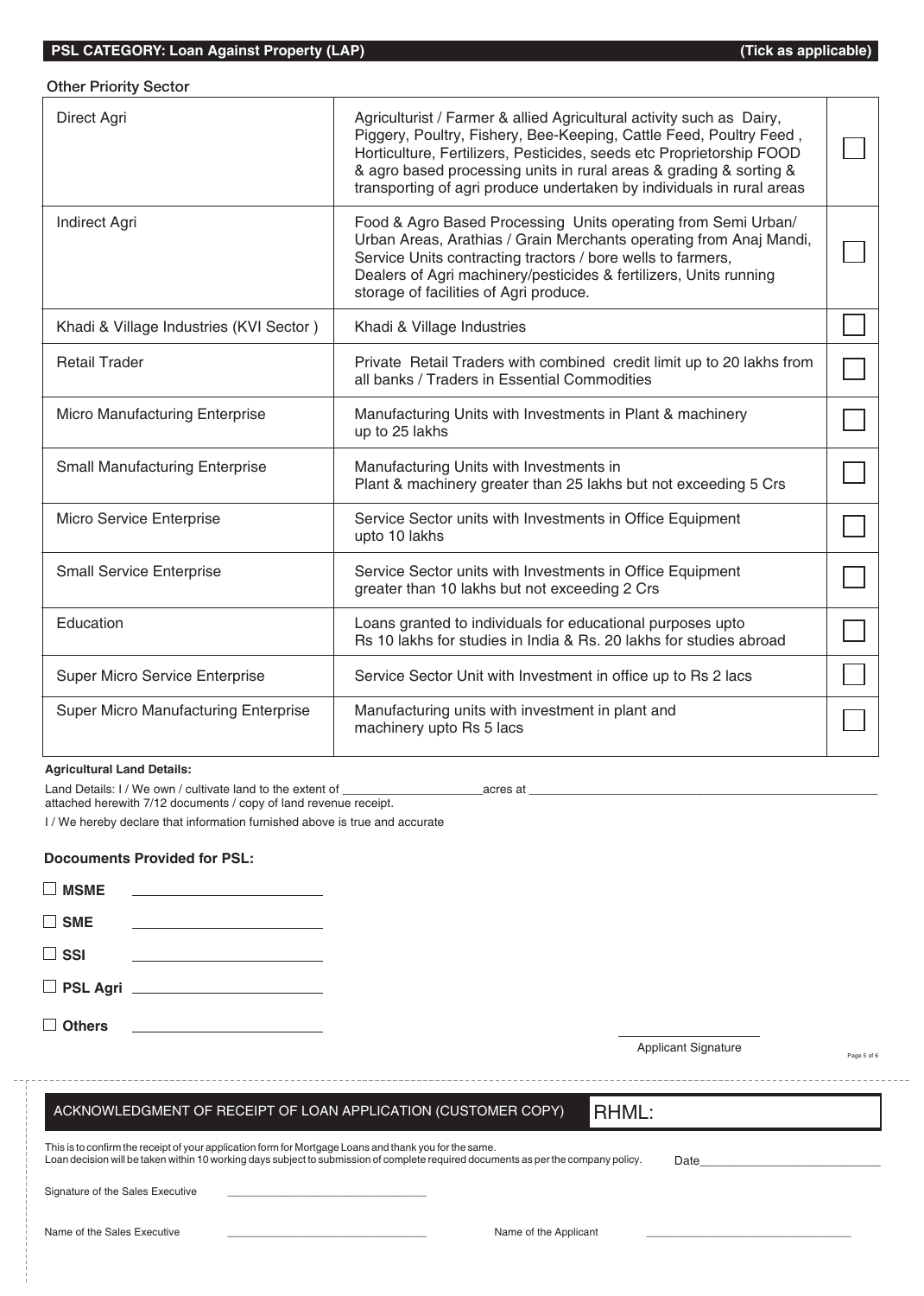## Other Priority Sector

| Direct Agri                             | Agriculturist / Farmer & allied Agricultural activity such as Dairy,<br>Piggery, Poultry, Fishery, Bee-Keeping, Cattle Feed, Poultry Feed,<br>Horticulture, Fertilizers, Pesticides, seeds etc Proprietorship FOOD<br>& agro based processing units in rural areas & grading & sorting &<br>transporting of agri produce undertaken by individuals in rural areas |  |
|-----------------------------------------|-------------------------------------------------------------------------------------------------------------------------------------------------------------------------------------------------------------------------------------------------------------------------------------------------------------------------------------------------------------------|--|
| Indirect Agri                           | Food & Agro Based Processing Units operating from Semi Urban/<br>Urban Areas, Arathias / Grain Merchants operating from Anaj Mandi,<br>Service Units contracting tractors / bore wells to farmers,<br>Dealers of Agri machinery/pesticides & fertilizers, Units running<br>storage of facilities of Agri produce.                                                 |  |
| Khadi & Village Industries (KVI Sector) | Khadi & Village Industries                                                                                                                                                                                                                                                                                                                                        |  |
| <b>Retail Trader</b>                    | Private Retail Traders with combined credit limit up to 20 lakhs from<br>all banks / Traders in Essential Commodities                                                                                                                                                                                                                                             |  |
| Micro Manufacturing Enterprise          | Manufacturing Units with Investments in Plant & machinery<br>up to 25 lakhs                                                                                                                                                                                                                                                                                       |  |
| <b>Small Manufacturing Enterprise</b>   | Manufacturing Units with Investments in<br>Plant & machinery greater than 25 lakhs but not exceeding 5 Crs                                                                                                                                                                                                                                                        |  |
| Micro Service Enterprise                | Service Sector units with Investments in Office Equipment<br>upto 10 lakhs                                                                                                                                                                                                                                                                                        |  |
| <b>Small Service Enterprise</b>         | Service Sector units with Investments in Office Equipment<br>greater than 10 lakhs but not exceeding 2 Crs                                                                                                                                                                                                                                                        |  |
| Education                               | Loans granted to individuals for educational purposes upto<br>Rs 10 lakhs for studies in India & Rs, 20 lakhs for studies abroad                                                                                                                                                                                                                                  |  |
| Super Micro Service Enterprise          | Service Sector Unit with Investment in office up to Rs 2 lacs                                                                                                                                                                                                                                                                                                     |  |
| Super Micro Manufacturing Enterprise    | Manufacturing units with investment in plant and<br>machinery upto Rs 5 lacs                                                                                                                                                                                                                                                                                      |  |

#### **Agricultural Land Details:**

Land Details: I / We own / cultivate land to the extent of \_\_\_\_\_\_\_\_\_\_\_\_\_\_\_\_\_\_\_\_\_acres at \_\_\_\_\_\_\_\_\_\_\_\_\_\_\_\_\_\_\_\_\_\_\_\_\_\_\_\_\_\_\_\_\_\_\_\_\_\_\_\_\_\_\_\_\_\_\_\_\_\_\_\_

attached herewith 7/12 documents / copy of land revenue receipt.

I / We hereby declare that information furnished above is true and accurate

## **Docouments Provided for PSL:**

| $\Box$ MSME   |                             |  |
|---------------|-----------------------------|--|
| $\Box$ SME    |                             |  |
| $\Box$ SSI    |                             |  |
|               | D PSL Agri ________________ |  |
| $\Box$ Others |                             |  |

Applicant Signature

Page 5 of 6

# ACKNOWLEDGMENT OF RECEIPT OF LOAN APPLICATION (CUSTOMER COPY)

RHML:

| This is to confirm the receipt of your application form for Mortgage Loans and thank you for the same.                             |      |  |
|------------------------------------------------------------------------------------------------------------------------------------|------|--|
| Loan decision will be taken within 10 working days subject to submission of complete required documents as per the company policy. | Date |  |
|                                                                                                                                    |      |  |

Signature of the Sales Executive

Name of the Sales Executive \_\_\_\_\_\_\_\_\_\_\_\_\_\_\_\_\_\_\_\_\_\_\_\_\_\_\_\_\_\_\_\_\_\_ Name of the Applicant \_\_\_\_\_\_\_\_\_\_\_\_\_\_\_\_\_\_\_\_\_\_\_\_\_\_\_\_\_\_\_\_\_\_\_